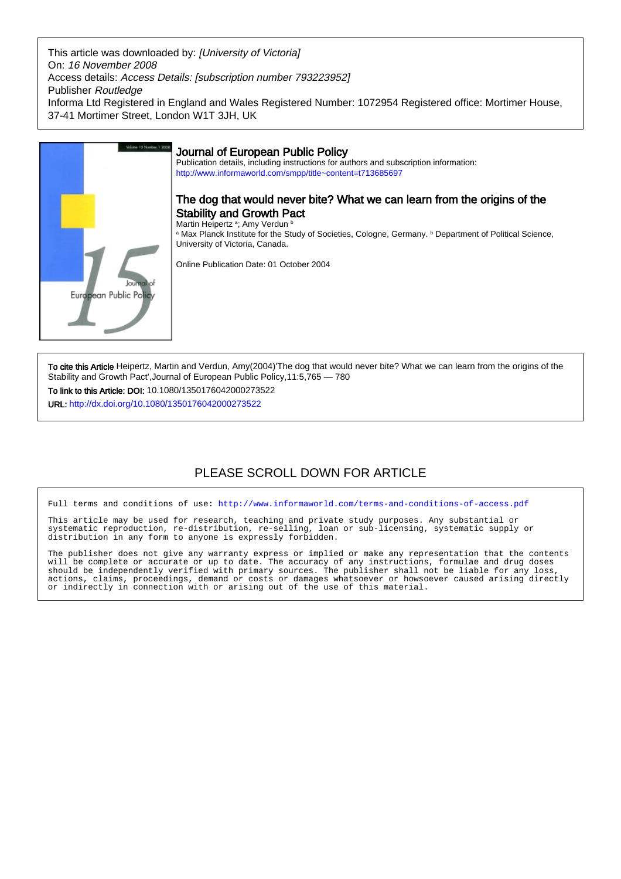This article was downloaded by: [University of Victoria] On: 16 November 2008 Access details: Access Details: [subscription number 793223952] Publisher Routledge Informa Ltd Registered in England and Wales Registered Number: 1072954 Registered office: Mortimer House, 37-41 Mortimer Street, London W1T 3JH, UK



To cite this Article Heipertz, Martin and Verdun, Amy(2004)'The dog that would never bite? What we can learn from the origins of the Stability and Growth Pact',Journal of European Public Policy,11:5,765 — 780

To link to this Article: DOI: 10.1080/1350176042000273522

URL: <http://dx.doi.org/10.1080/1350176042000273522>

# PLEASE SCROLL DOWN FOR ARTICLE

Full terms and conditions of use:<http://www.informaworld.com/terms-and-conditions-of-access.pdf>

This article may be used for research, teaching and private study purposes. Any substantial or systematic reproduction, re-distribution, re-selling, loan or sub-licensing, systematic supply or distribution in any form to anyone is expressly forbidden.

The publisher does not give any warranty express or implied or make any representation that the contents will be complete or accurate or up to date. The accuracy of any instructions, formulae and drug doses should be independently verified with primary sources. The publisher shall not be liable for any loss, actions, claims, proceedings, demand or costs or damages whatsoever or howsoever caused arising directly or indirectly in connection with or arising out of the use of this material.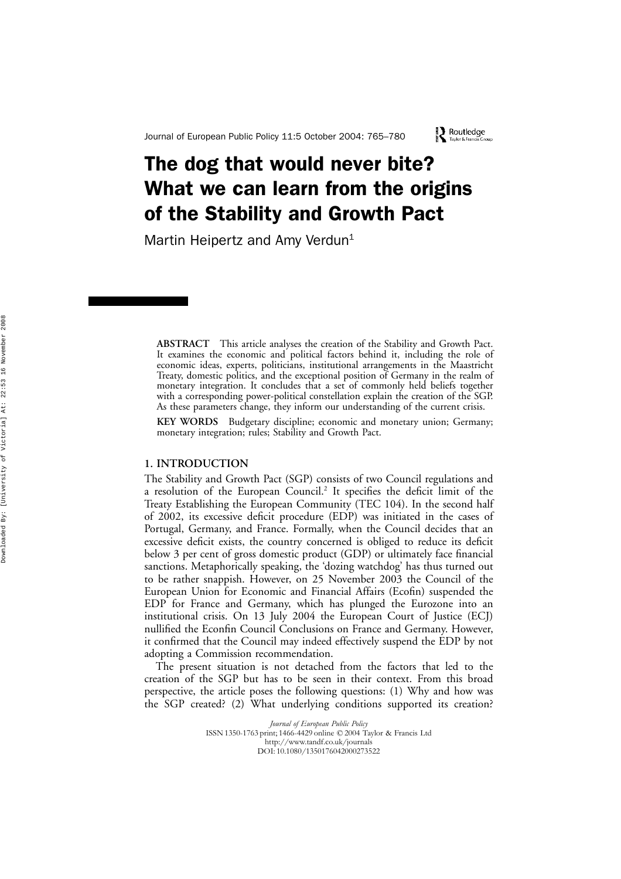# The dog that would never bite? What we can learn from the origins of the Stability and Growth Pact

Martin Heipertz and Amy Verdun<sup>1</sup>

**ABSTRACT** This article analyses the creation of the Stability and Growth Pact. It examines the economic and political factors behind it, including the role of economic ideas, experts, politicians, institutional arrangements in the Maastricht Treaty, domestic politics, and the exceptional position of Germany in the realm of monetary integration. It concludes that a set of commonly held beliefs together with a corresponding power-political constellation explain the creation of the SGP. As these parameters change, they inform our understanding of the current crisis.

**KEY WORDS** Budgetary discipline; economic and monetary union; Germany; monetary integration; rules; Stability and Growth Pact.

# **1. INTRODUCTION**

The Stability and Growth Pact (SGP) consists of two Council regulations and a resolution of the European Council. <sup>2</sup> It specifies the deficit limit of the Treaty Establishing the European Community (TEC 104). In the second half of 2002, its excessive deficit procedure (EDP) was initiated in the cases of Portugal, Germany, and France. Formally, when the Council decides that an excessive deficit exists, the country concerned is obliged to reduce its deficit below 3 per cent of gross domestic product (GDP) or ultimately face financial sanctions. Metaphorically speaking, the 'dozing watchdog' has thus turned out to be rather snappish. However, on 25 November 2003 the Council of the European Union for Economic and Financial Affairs (Ecofin) suspended the EDP for France and Germany, which has plunged the Eurozone into an institutional crisis. On 13 July 2004 the European Court of Justice (ECJ) nullified the Econfin Council Conclusions on France and Germany. However, it confirmed that the Council may indeed effectively suspend the EDP by not adopting a Commission recommendation.

The present situation is not detached from the factors that led to the creation of the SGP but has to be seen in their context. From this broad perspective, the article poses the following questions: (1) Why and how was the SGP created? (2) What underlying conditions supported its creation?

> *Journal of European Public Policy* ISSN 1350-1763 print; 1466-4429 online © 2004 Taylor & Francis Ltd http://www.tandf.co.uk/journals DOI: 10.1080/1350176042000273522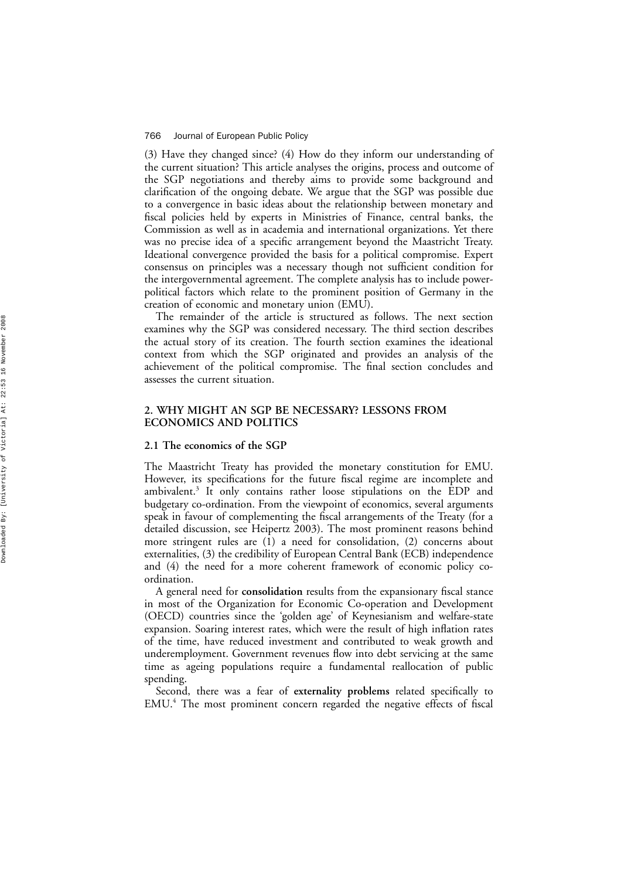(3) Have they changed since? (4) How do they inform our understanding of the current situation? This article analyses the origins, process and outcome of the SGP negotiations and thereby aims to provide some background and clari fication of the ongoing debate. We argue that the SGP was possible due to a convergence in basic ideas about the relationship between monetary and fiscal policies held by experts in Ministries of Finance, central banks, the Commission as well as in academia and international organizations. Yet there was no precise idea of a speci fic arrangement beyond the Maastricht Treaty. Ideational convergence provided the basis for a political compromise. Expert consensus on principles was a necessary though not sufficient condition for the intergovernmental agreement. The complete analysis has to include powerpolitical factors which relate to the prominent position of Germany in the creation of economic and monetary union (EMU).

The remainder of the article is structured as follows. The next section examines why the SGP was considered necessary. The third section describes the actual story of its creation. The fourth section examines the ideational context from which the SGP originated and provides an analysis of the achievement of the political compromise. The final section concludes and assesses the current situation.

# **2. WHY MIGHT AN SGP BE NECESSARY? LESSONS FROM ECONOMICS AND POLITICS**

## **2.1 The economics of the SGP**

The Maastricht Treaty has provided the monetary constitution for EMU. However, its speci fications for the future fiscal regime are incomplete and ambivalent. <sup>3</sup> It only contains rather loose stipulations on the EDP and budgetary co-ordination. From the viewpoint of economics, several arguments speak in favour of complementing the fiscal arrangements of the Treaty (for a detailed discussion, see Heipertz 2003). The most prominent reasons behind more stringent rules are (1) a need for consolidation, (2) concerns about externalities, (3) the credibility of European Central Bank (ECB) independence and (4) the need for a more coherent framework of economic policy coordination.

A general need for **consolidation** results from the expansionary fiscal stance in most of the Organization for Economic Co-operation and Development (OECD) countries since the 'golden age ' of Keynesianism and welfare-state expansion. Soaring interest rates, which were the result of high in flation rates of the time, have reduced investment and contributed to weak growth and underemployment. Government revenues flow into debt servicing at the same time as ageing populations require a fundamental reallocation of public spending.

Second, there was a fear of **externality problems** related speci fically to EMU. <sup>4</sup> The most prominent concern regarded the negative effects of fiscal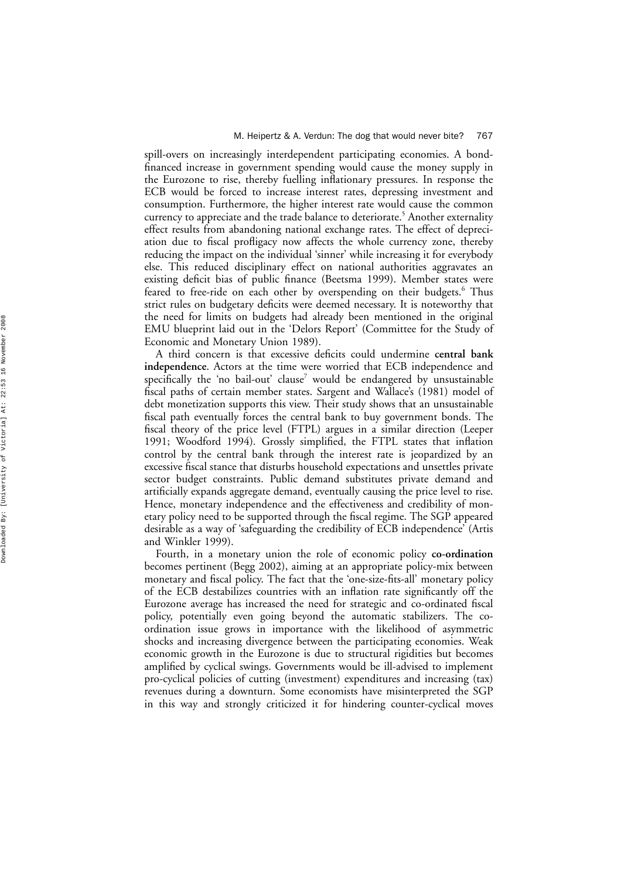spill-overs on increasingly interdependent participating economies. A bond financed increase in government spending would cause the money supply in the Eurozone to rise, thereby fuelling in flationary pressures. In response the ECB would be forced to increase interest rates, depressing investment and consumption. Furthermore, the higher interest rate would cause the common currency to appreciate and the trade balance to deteriorate. <sup>5</sup> Another externality effect results from abandoning national exchange rates. The effect of depreciation due to fiscal profligacy now affects the whole currency zone, thereby reducing the impact on the individual 'sinner ' while increasing it for everybody else. This reduced disciplinary effect on national authorities aggravates an existing de ficit bias of public finance (Beetsma 1999). Member states were feared to free-ride on each other by overspending on their budgets. <sup>6</sup> Thus strict rules on budgetary deficits were deemed necessary. It is noteworthy that the need for limits on budgets had already been mentioned in the original EMU blueprint laid out in the 'Delors Report ' (Committee for the Study of Economic and Monetary Union 1989).

A third concern is that excessive de ficits could undermine **central bank independence**. Actors at the time were worried that ECB independence and speci fically the 'no bail-out ' clause <sup>7</sup> would be endangered by unsustainable fiscal paths of certain member states. Sargent and Wallace 's (1981) model of debt monetization supports this view. Their study shows that an unsustainable fiscal path eventually forces the central bank to buy government bonds. The fiscal theory of the price level (FTPL) argues in a similar direction (Leeper 1991; Woodford 1994). Grossly simpli fied, the FTPL states that in flation control by the central bank through the interest rate is jeopardized by an excessive fiscal stance that disturbs household expectations and unsettles private sector budget constraints. Public demand substitutes private demand and arti ficially expands aggregate demand, eventually causing the price level to rise. Hence, monetary independence and the effectiveness and credibility of monetary policy need to be supported through the fiscal regime. The SGP appeared desirable as a way of 'safeguarding the credibility of ECB independence ' (Artis and Winkler 1999).

Fourth, in a monetary union the role of economic policy **co-ordination** becomes pertinent (Begg 2002), aiming at an appropriate policy-mix between monetary and fiscal policy. The fact that the 'one-size-fits-all ' monetary policy of the ECB destabilizes countries with an in flation rate signi ficantly off the Eurozone average has increased the need for strategic and co-ordinated fiscal policy, potentially even going beyond the automatic stabilizers. The coordination issue grows in importance with the likelihood of asymmetric shocks and increasing divergence between the participating economies. Weak economic growth in the Eurozone is due to structural rigidities but becomes ampli fied by cyclical swings. Governments would be ill-advised to implement pro-cyclical policies of cutting (investment) expenditures and increasing (tax) revenues during a downturn. Some economists have misinterpreted the SGP in this way and strongly criticized it for hindering counter-cyclical moves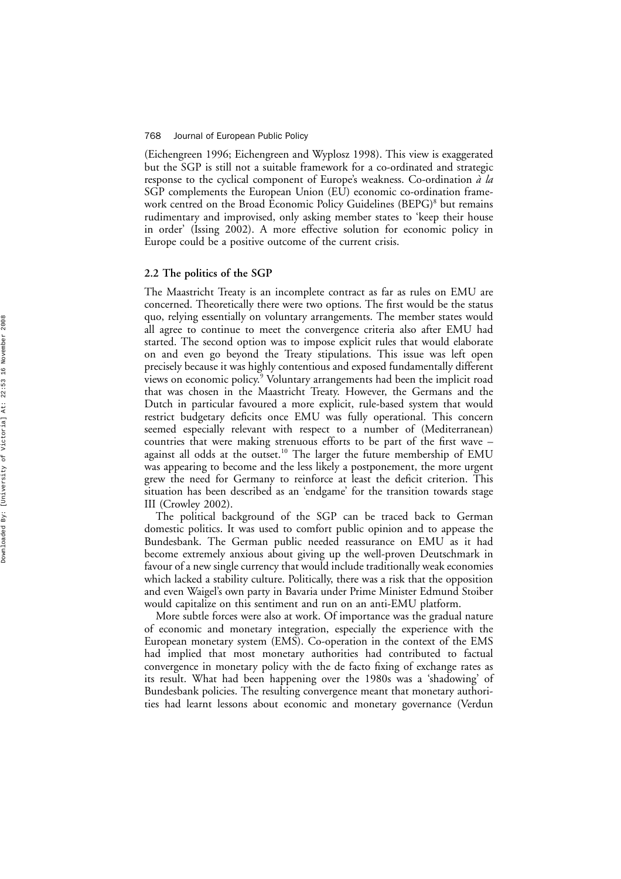(Eichengreen 1996; Eichengreen and Wyplosz 1998). This view is exaggerated but the SGP is still not a suitable framework for a co-ordinated and strategic response to the cyclical component of Europe's weakness. Co-ordination *à la* SGP complements the European Union (EU) economic co-ordination framework centred on the Broad Economic Policy Guidelines (BEPG)<sup>8</sup> but remains rudimentary and improvised, only asking member states to 'keep their house in order ' (Issing 2002). A more effective solution for economic policy in Europe could be a positive outcome of the current crisis.

# **2.2 The politics of the SGP**

The Maastricht Treaty is an incomplete contract as far as rules on EMU are concerned. Theoretically there were two options. The first would be the status quo, relying essentially on voluntary arrangements. The member states would all agree to continue to meet the convergence criteria also after EMU had started. The second option was to impose explicit rules that would elaborate on and even go beyond the Treaty stipulations. This issue was left open precisely because it was highly contentious and exposed fundamentally different views on economic policy.<sup>9</sup> Voluntary arrangements had been the implicit road that was chosen in the Maastricht Treaty. However, the Germans and the Dutch in particular favoured a more explicit, rule-based system that would restrict budgetary de ficits once EMU was fully operational. This concern seemed especially relevant with respect to a number of (Mediterranean) countries that were making strenuous efforts to be part of the first wave – against all odds at the outset.<sup>10</sup> The larger the future membership of EMU was appearing to become and the less likely a postponement, the more urgent grew the need for Germany to reinforce at least the de ficit criterion. This situation has been described as an 'endgame ' for the transition towards stage III (Crowley 2002).

The political background of the SGP can be traced back to German domestic politics. It was used to comfort public opinion and to appease the Bundesbank. The German public needed reassurance on EMU as it had become extremely anxious about giving up the well-proven Deutschmark in favour of a new single currency that would include traditionally weak economies which lacked a stability culture. Politically, there was a risk that the opposition and even Waigel 's own party in Bavaria under Prime Minister Edmund Stoiber would capitalize on this sentiment and run on an anti-EMU platform.

More subtle forces were also at work. Of importance was the gradual nature of economic and monetary integration, especially the experience with the European monetary system (EMS). Co-operation in the context of the EMS had implied that most monetary authorities had contributed to factual convergence in monetary policy with the de facto fixing of exchange rates as its result. What had been happening over the 1980s was a 'shadowing ' of Bundesbank policies. The resulting convergence meant that monetary authorities had learnt lessons about economic and monetary governance (Verdun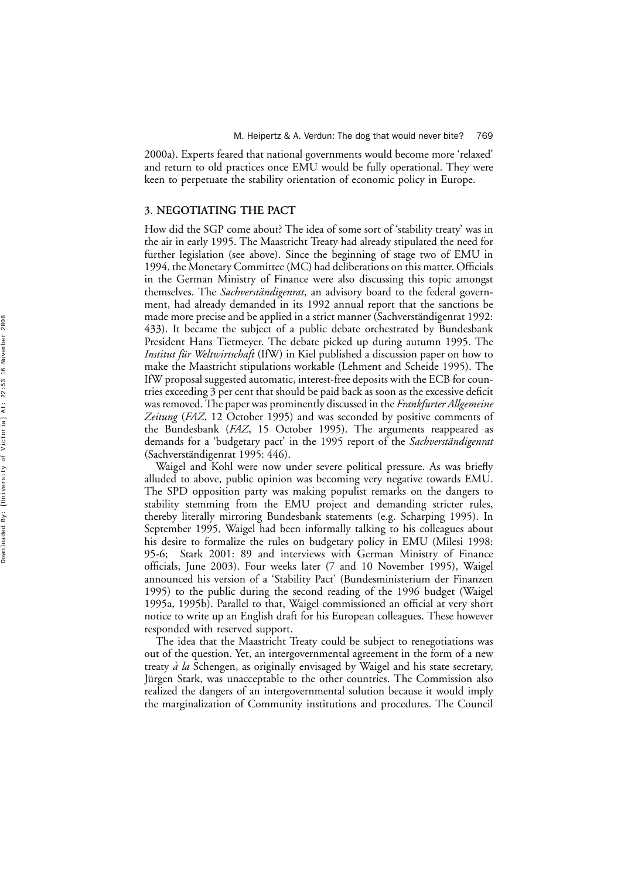2000a). Experts feared that national governments would become more 'relaxed ' and return to old practices once EMU would be fully operational. They were keen to perpetuate the stability orientation of economic policy in Europe.

# **3. NEGOTIATING THE PACT**

How did the SGP come about? The idea of some sort of 'stability treaty' was in the air in early 1995. The Maastricht Treaty had already stipulated the need for further legislation (see above). Since the beginning of stage two of EMU in 1994, the Monetary Committee (MC) had deliberations on this matter. Officials in the German Ministry of Finance were also discussing this topic amongst themselves. The *Sachverständigenrat*, an advisory board to the federal government, had already demanded in its 1992 annual report that the sanctions be made more precise and be applied in a strict manner (Sachverständigenrat 1992: 433). It became the subject of a public debate orchestrated by Bundesbank President Hans Tietmeyer. The debate picked up during autumn 1995. The *Institut für Weltwirtschaft* (IfW) in Kiel published a discussion paper on how to make the Maastricht stipulations workable (Lehment and Scheide 1995). The IfW proposal suggested automatic, interest-free deposits with the ECB for countries exceeding 3 per cent that should be paid back as soon as the excessive deficit was removed. The paper was prominently discussed in the *Frankfurter Allgemeine Zeitung* (*FAZ*, 12 October 1995) and was seconded by positive comments of the Bundesbank (*FAZ*, 15 October 1995). The arguments reappeared as demands for a 'budgetary pact' in the 1995 report of the *Sachverständigenrat* (Sachverständigenrat 1995: 446).

Waigel and Kohl were now under severe political pressure. As was brie fl y alluded to above, public opinion was becoming very negative towards EMU. The SPD opposition party was making populist remarks on the dangers to stability stemming from the EMU project and demanding stricter rules, thereby literally mirroring Bundesbank statements (e.g. Scharping 1995). In September 1995, Waigel had been informally talking to his colleagues about his desire to formalize the rules on budgetary policy in EMU (Milesi 1998: 95-6; Stark 2001: 89 and interviews with German Ministry of Finance officials, June 2003). Four weeks later (7 and 10 November 1995), Waigel announced his version of a 'Stability Pact ' (Bundesministerium der Finanzen 1995) to the public during the second reading of the 1996 budget (Waigel 1995a, 1995b). Parallel to that, Waigel commissioned an official at very short notice to write up an English draft for his European colleagues. These however responded with reserved support.

The idea that the Maastricht Treaty could be subject to renegotiations was out of the question. Yet, an intergovernmental agreement in the form of a new treaty *a` la* Schengen, as originally envisaged by Waigel and his state secretary, Jürgen Stark, was unacceptable to the other countries. The Commission also realized the dangers of an intergovernmental solution because it would imply the marginalization of Community institutions and procedures. The Council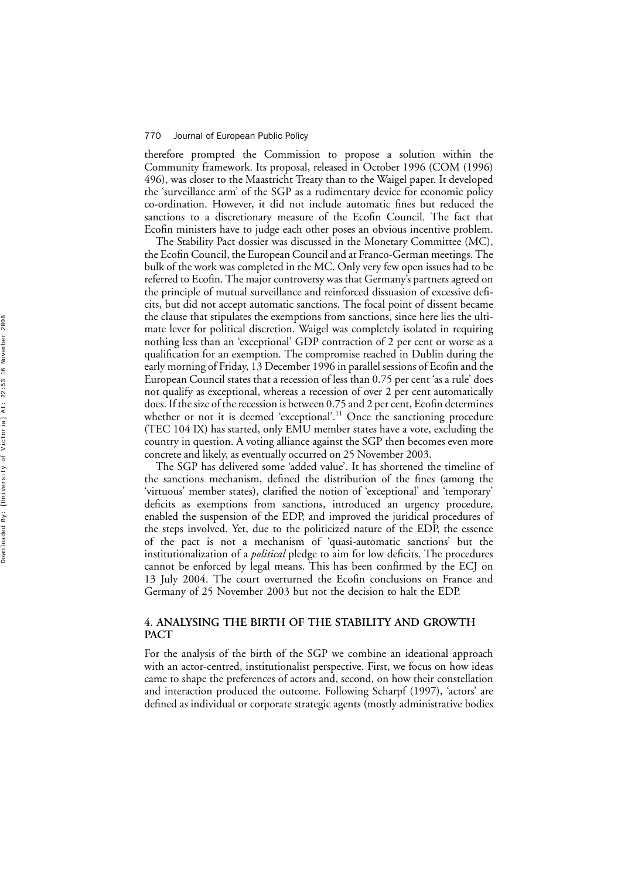therefore prompted the Commission to propose a solution within the Community framework. Its proposal, released in October 1996 (COM (1996) 496), was closer to the Maastricht Treaty than to the Waigel paper. It developed the 'surveillance arm' of the SGP as a rudimentary device for economic policy co-ordination. However, it did not include automatic fines but reduced the sanctions to a discretionary measure of the Eco fin Council. The fact that Eco fin ministers have to judge each other poses an obvious incentive problem.

The Stability Pact dossier was discussed in the Monetary Committee (MC), the Eco fin Council, the European Council and at Franco-German meetings. The bulk of the work was completed in the MC. Only very few open issues had to be referred to Eco fin. The major controversy was that Germany's partners agreed on the principle of mutual surveillance and reinforced dissuasion of excessive deficits, but did not accept automatic sanctions. The focal point of dissent became the clause that stipulates the exemptions from sanctions, since here lies the ultimate lever for political discretion. Waigel was completely isolated in requiring nothing less than an 'exceptional ' GDP contraction of 2 per cent or worse as a quali fication for an exemption. The compromise reached in Dublin during the early morning of Friday, 13 December 1996 in parallel sessions of Eco fin and the European Council states that a recession of less than 0.75 per cent 'as a rule ' does not qualify as exceptional, whereas a recession of over 2 per cent automatically does. If the size of the recession is between 0.75 and 2 per cent, Eco fin determines whether or not it is deemed 'exceptional'.<sup>11</sup> Once the sanctioning procedure (TEC 104 IX) has started, only EMU member states have a vote, excluding the country in question. A voting alliance against the SGP then becomes even more concrete and likely, as eventually occurred on 25 November 2003.

The SGP has delivered some 'added value '. It has shortened the timeline of the sanctions mechanism, de fined the distribution of the fines (among the 'virtuous ' member states), clari fied the notion of 'exceptional ' and 'temporary' de ficits as exemptions from sanctions, introduced an urgency procedure, enabled the suspension of the EDP, and improved the juridical procedures of the steps involved. Yet, due to the politicized nature of the EDP, the essence of the pact is not a mechanism of 'quasi-automatic sanctions ' but the institutionalization of a *political* pledge to aim for low de ficits. The procedures cannot be enforced by legal means. This has been con firmed by the ECJ on 13 July 2004. The court overturned the Eco fin conclusions on France and Germany of 25 November 2003 but not the decision to halt the EDP.

# **4. ANALYSING THE BIRTH OF THE STABILITY AND GROWTH PACT**

For the analysis of the birth of the SGP we combine an ideational approach with an actor-centred, institutionalist perspective. First, we focus on how ideas came to shape the preferences of actors and, second, on how their constellation and interaction produced the outcome. Following Scharpf (1997), 'actors ' are de fined as individual or corporate strategic agents (mostly administrative bodies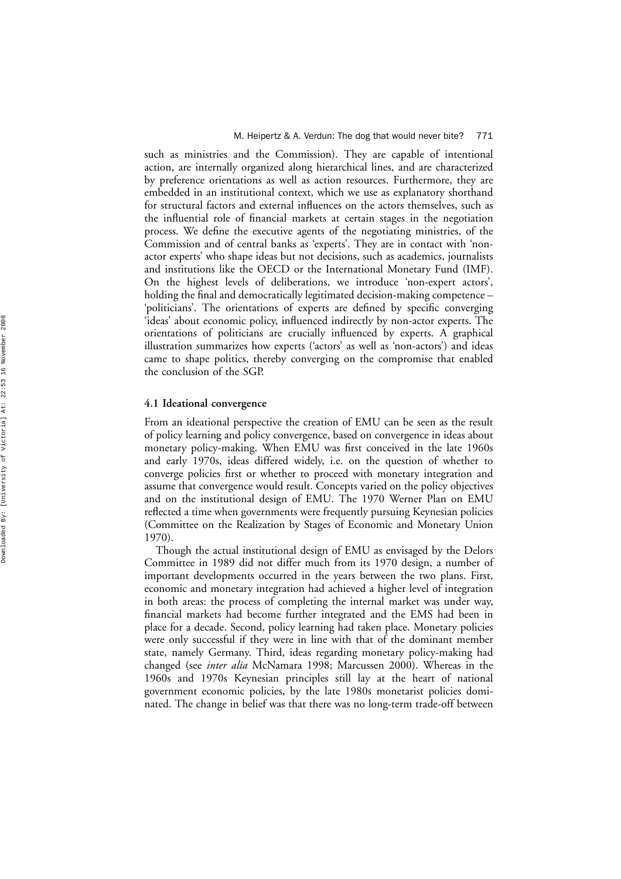such as ministries and the Commission). They are capable of intentional action, are internally organized along hierarchical lines, and are characterized by preference orientations as well as action resources. Furthermore, they are embedded in an institutional context, which we use as explanatory shorthand for structural factors and external in fluences on the actors themselves, such as the in fluential role of financial markets at certain stages in the negotiation process. We de fine the executive agents of the negotiating ministries, of the Commission and of central banks as 'experts '. They are in contact with 'nonactor experts' who shape ideas but not decisions, such as academics, journalists and institutions like the OECD or the International Monetary Fund (IMF). On the highest levels of deliberations, we introduce 'non-expert actors', holding the final and democratically legitimated decision-making competence – 'politicians '. The orientations of experts are de fined by speci fic converging 'ideas ' about economic policy, in fluenced indirectly by non-actor experts. The orientations of politicians are crucially in fluenced by experts. A graphical illustration summarizes how experts ( 'actors ' as well as 'non-actors ') and ideas came to shape politics, thereby converging on the compromise that enabled the conclusion of the SGP.

## **4.1 Ideational convergence**

From an ideational perspective the creation of EMU can be seen as the result of policy learning and policy convergence, based on convergence in ideas about monetary policy-making. When EMU was first conceived in the late 1960s and early 1970s, ideas differed widely, i.e. on the question of whether to converge policies first or whether to proceed with monetary integration and assume that convergence would result. Concepts varied on the policy objectives and on the institutional design of EMU. The 1970 Werner Plan on EMU re flected a time when governments were frequently pursuing Keynesian policies (Committee on the Realization by Stages of Economic and Monetary Union 1970).

Though the actual institutional design of EMU as envisaged by the Delors Committee in 1989 did not differ much from its 1970 design, a number of important developments occurred in the years between the two plans. First, economic and monetary integration had achieved a higher level of integration in both areas: the process of completing the internal market was under way, financial markets had become further integrated and the EMS had been in place for a decade. Second, policy learning had taken place. Monetary policies were only successful if they were in line with that of the dominant member state, namely Germany. Third, ideas regarding monetary policy-making had changed (see *inter alia* McNamara 1998; Marcussen 2000). Whereas in the 1960s and 1970s Keynesian principles still lay at the heart of national government economic policies, by the late 1980s monetarist policies dominated. The change in belief was that there was no long-term trade-off between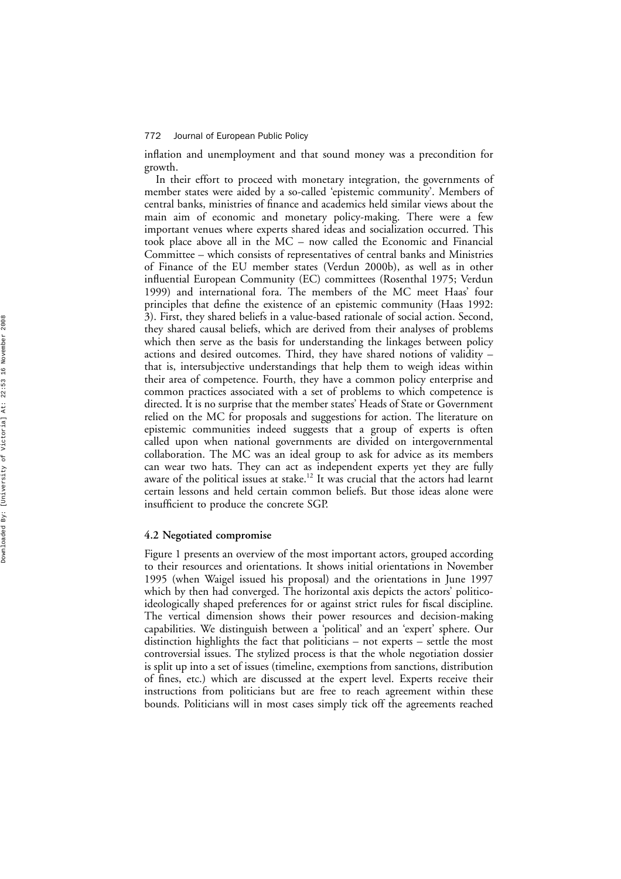in flation and unemployment and that sound money was a precondition for growth.

In their effort to proceed with monetary integration, the governments of member states were aided by a so-called 'epistemic community'. Members of central banks, ministries of finance and academics held similar views about the main aim of economic and monetary policy-making. There were a few important venues where experts shared ideas and socialization occurred. This took place above all in the MC – now called the Economic and Financial Committee – which consists of representatives of central banks and Ministries of Finance of the EU member states (Verdun 2000b), as well as in other in fluential European Community (EC) committees (Rosenthal 1975; Verdun 1999) and international fora. The members of the MC meet Haas ' four principles that de fine the existence of an epistemic community (Haas 1992: 3). First, they shared beliefs in a value-based rationale of social action. Second, they shared causal beliefs, which are derived from their analyses of problems which then serve as the basis for understanding the linkages between policy actions and desired outcomes. Third, they have shared notions of validity – that is, intersubjective understandings that help them to weigh ideas within their area of competence. Fourth, they have a common policy enterprise and common practices associated with a set of problems to which competence is directed. It is no surprise that the member states ' Heads of State or Government relied on the MC for proposals and suggestions for action. The literature on epistemic communities indeed suggests that a group of experts is often called upon when national governments are divided on intergovernmental collaboration. The MC was an ideal group to ask for advice as its members can wear two hats. They can act as independent experts yet they are fully aware of the political issues at stake.<sup>12</sup> It was crucial that the actors had learnt certain lessons and held certain common beliefs. But those ideas alone were insufficient to produce the concrete SGP.

## **4.2 Negotiated compromise**

Figure 1 presents an overview of the most important actors, grouped according to their resources and orientations. It shows initial orientations in November 1995 (when Waigel issued his proposal) and the orientations in June 1997 which by then had converged. The horizontal axis depicts the actors ' politicoideologically shaped preferences for or against strict rules for fiscal discipline. The vertical dimension shows their power resources and decision-making capabilities. We distinguish between a 'political ' and an 'expert ' sphere. Our distinction highlights the fact that politicians – not experts – settle the most controversial issues. The stylized process is that the whole negotiation dossier is split up into a set of issues (timeline, exemptions from sanctions, distribution of fines, etc.) which are discussed at the expert level. Experts receive their instructions from politicians but are free to reach agreement within these bounds. Politicians will in most cases simply tick off the agreements reached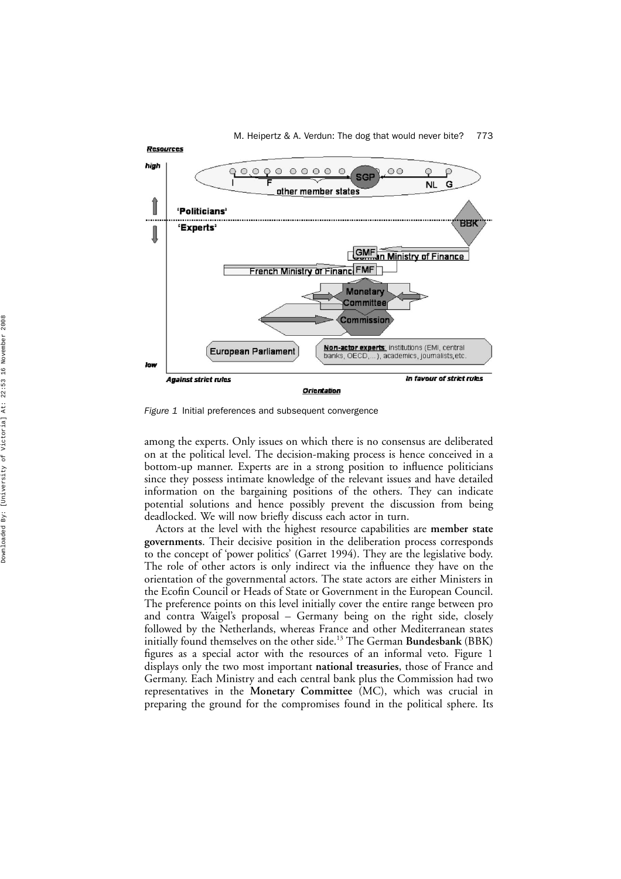

*Figure 1* Initial preferences and subsequent convergence

among the experts. Only issues on which there is no consensus are deliberated on at the political level. The decision-making process is hence conceived in a bottom-up manner. Experts are in a strong position to influence politicians since they possess intimate knowledge of the relevant issues and have detailed information on the bargaining positions of the others. They can indicate potential solutions and hence possibly prevent the discussion from being deadlocked. We will now briefly discuss each actor in turn.

Actors at the level with the highest resource capabilities are **member state governments**. Their decisive position in the deliberation process corresponds to the concept of 'power politics' (Garret 1994). They are the legislative body. The role of other actors is only indirect via the influence they have on the orientation of the governmental actors. The state actors are either Ministers in the Ecofin Council or Heads of State or Government in the European Council. The preference points on this level initially cover the entire range between pro and contra Waigel's proposal – Germany being on the right side, closely followed by the Netherlands, whereas France and other Mediterranean states initially found themselves on the other side.<sup>13</sup> The German **Bundesbank** (BBK) figures as a special actor with the resources of an informal veto. Figure 1 displays only the two most important **national treasuries**, those of France and Germany. Each Ministry and each central bank plus the Commission had two representatives in the **Monetary Committee** (MC), which was crucial in preparing the ground for the compromises found in the political sphere. Its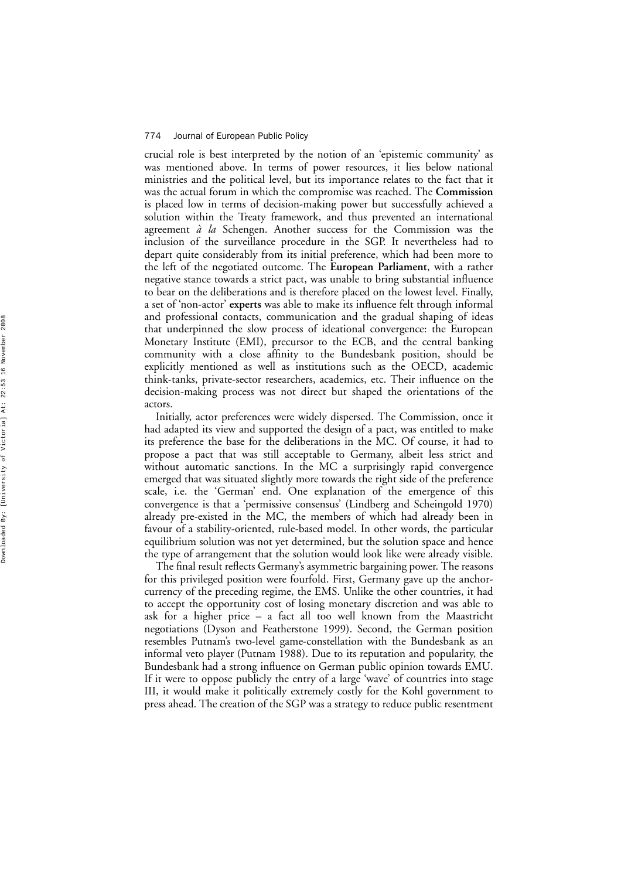crucial role is best interpreted by the notion of an 'epistemic community' as was mentioned above. In terms of power resources, it lies below national ministries and the political level, but its importance relates to the fact that it was the actual forum in which the compromise was reached. The **Commission** is placed low in terms of decision-making power but successfully achieved a solution within the Treaty framework, and thus prevented an international agreement *a` la* Schengen. Another success for the Commission was the inclusion of the surveillance procedure in the SGP. It nevertheless had to depart quite considerably from its initial preference, which had been more to the left of the negotiated outcome. The **European Parliament**, with a rather negative stance towards a strict pact, was unable to bring substantial in fluence to bear on the deliberations and is therefore placed on the lowest level. Finally, a set of 'non-actor ' **experts** was able to make its in fluence felt through informal and professional contacts, communication and the gradual shaping of ideas that underpinned the slow process of ideational convergence: the European Monetary Institute (EMI), precursor to the ECB, and the central banking community with a close affinity to the Bundesbank position, should be explicitly mentioned as well as institutions such as the OECD, academic think-tanks, private-sector researchers, academics, etc. Their in fluence on the decision-making process was not direct but shaped the orientations of the actors.

Initially, actor preferences were widely dispersed. The Commission, once it had adapted its view and supported the design of a pact, was entitled to make its preference the base for the deliberations in the MC. Of course, it had to propose a pact that was still acceptable to Germany, albeit less strict and without automatic sanctions. In the MC a surprisingly rapid convergence emerged that was situated slightly more towards the right side of the preference scale, i.e. the 'German ' end. One explanation of the emergence of this convergence is that a 'permissive consensus ' (Lindberg and Scheingold 1970) already pre-existed in the MC, the members of which had already been in favour of a stability-oriented, rule-based model. In other words, the particular equilibrium solution was not yet determined, but the solution space and hence the type of arrangement that the solution would look like were already visible.

The final result reflects Germany's asymmetric bargaining power. The reasons for this privileged position were fourfold. First, Germany gave up the anchorcurrency of the preceding regime, the EMS. Unlike the other countries, it had to accept the opportunity cost of losing monetary discretion and was able to ask for a higher price – a fact all too well known from the Maastricht negotiations (Dyson and Featherstone 1999). Second, the German position resembles Putnam's two-level game-constellation with the Bundesbank as an informal veto player (Putnam 1988). Due to its reputation and popularity, the Bundesbank had a strong in fluence on German public opinion towards EMU. If it were to oppose publicly the entry of a large 'wave ' of countries into stage III, it would make it politically extremely costly for the Kohl government to press ahead. The creation of the SGP was a strategy to reduce public resentment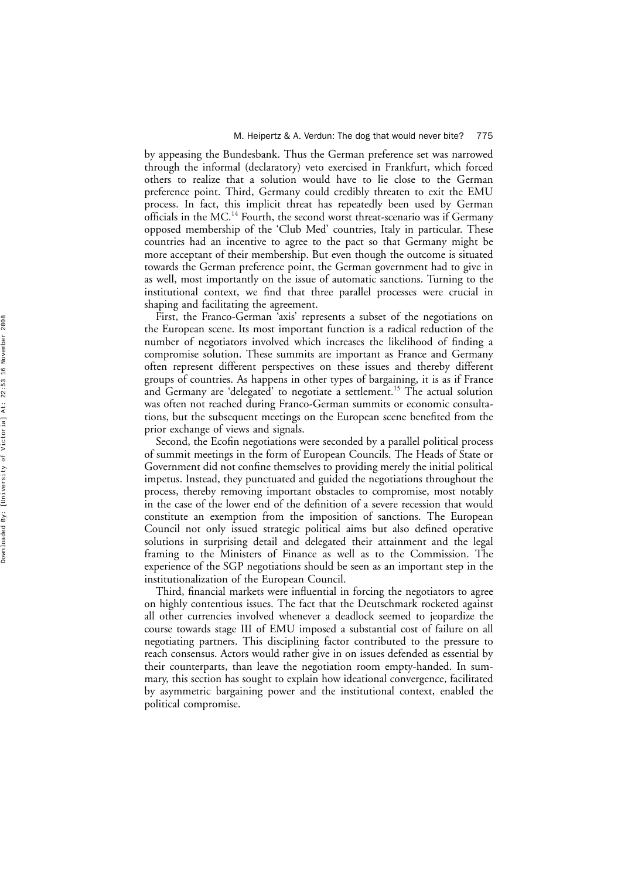by appeasing the Bundesbank. Thus the German preference set was narrowed through the informal (declaratory) veto exercised in Frankfurt, which forced others to realize that a solution would have to lie close to the German preference point. Third, Germany could credibly threaten to exit the EMU process. In fact, this implicit threat has repeatedly been used by German officials in the MC.<sup>14</sup> Fourth, the second worst threat-scenario was if Germany opposed membership of the 'Club Med ' countries, Italy in particular. These countries had an incentive to agree to the pact so that Germany might be more acceptant of their membership. But even though the outcome is situated towards the German preference point, the German government had to give in as well, most importantly on the issue of automatic sanctions. Turning to the institutional context, we find that three parallel processes were crucial in shaping and facilitating the agreement.

First, the Franco-German 'axis ' represents a subset of the negotiations on the European scene. Its most important function is a radical reduction of the number of negotiators involved which increases the likelihood of finding a compromise solution. These summits are important as France and Germany often represent different perspectives on these issues and thereby different groups of countries. As happens in other types of bargaining, it is as if France and Germany are 'delegated' to negotiate a settlement.<sup>15</sup> The actual solution was often not reached during Franco-German summits or economic consultations, but the subsequent meetings on the European scene benefited from the prior exchange of views and signals.

Second, the Eco fin negotiations were seconded by a parallel political process of summit meetings in the form of European Councils. The Heads of State or Government did not con fine themselves to providing merely the initial political impetus. Instead, they punctuated and guided the negotiations throughout the process, thereby removing important obstacles to compromise, most notably in the case of the lower end of the de finition of a severe recession that would constitute an exemption from the imposition of sanctions. The European Council not only issued strategic political aims but also de fined operative solutions in surprising detail and delegated their attainment and the legal framing to the Ministers of Finance as well as to the Commission. The experience of the SGP negotiations should be seen as an important step in the institutionalization of the European Council.

Third, financial markets were in fluential in forcing the negotiators to agree on highly contentious issues. The fact that the Deutschmark rocketed against all other currencies involved whenever a deadlock seemed to jeopardize the course towards stage III of EMU imposed a substantial cost of failure on all negotiating partners. This disciplining factor contributed to the pressure to reach consensus. Actors would rather give in on issues defended as essential by their counterparts, than leave the negotiation room empty-handed. In summary, this section has sought to explain how ideational convergence, facilitated by asymmetric bargaining power and the institutional context, enabled the political compromise.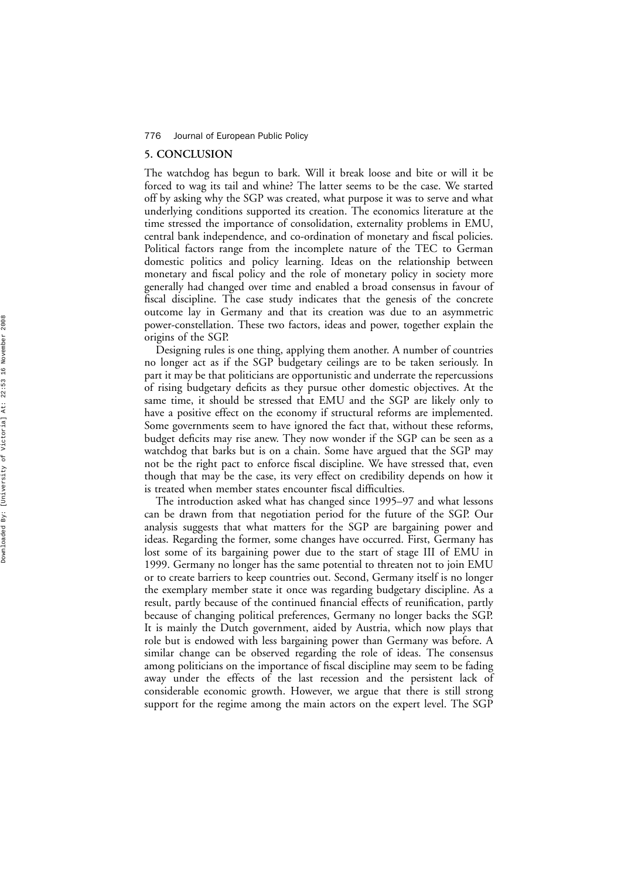## **5. CONCLUSION**

The watchdog has begun to bark. Will it break loose and bite or will it be forced to wag its tail and whine? The latter seems to be the case. We started off by asking why the SGP was created, what purpose it was to serve and what underlying conditions supported its creation. The economics literature at the time stressed the importance of consolidation, externality problems in EMU, central bank independence, and co-ordination of monetary and fiscal policies. Political factors range from the incomplete nature of the TEC to German domestic politics and policy learning. Ideas on the relationship between monetary and fiscal policy and the role of monetary policy in society more generally had changed over time and enabled a broad consensus in favour of fiscal discipline. The case study indicates that the genesis of the concrete outcome lay in Germany and that its creation was due to an asymmetric power-constellation. These two factors, ideas and power, together explain the origins of the SGP.

Designing rules is one thing, applying them another. A number of countries no longer act as if the SGP budgetary ceilings are to be taken seriously. In part it may be that politicians are opportunistic and underrate the repercussions of rising budgetary de ficits as they pursue other domestic objectives. At the same time, it should be stressed that EMU and the SGP are likely only to have a positive effect on the economy if structural reforms are implemented. Some governments seem to have ignored the fact that, without these reforms, budget de ficits may rise anew. They now wonder if the SGP can be seen as a watchdog that barks but is on a chain. Some have argued that the SGP may not be the right pact to enforce fiscal discipline. We have stressed that, even though that may be the case, its very effect on credibility depends on how it is treated when member states encounter fiscal difficulties.

The introduction asked what has changed since 1995 –97 and what lessons can be drawn from that negotiation period for the future of the SGP. Our analysis suggests that what matters for the SGP are bargaining power and ideas. Regarding the former, some changes have occurred. First, Germany has lost some of its bargaining power due to the start of stage III of EMU in 1999. Germany no longer has the same potential to threaten not to join EMU or to create barriers to keep countries out. Second, Germany itself is no longer the exemplary member state it once was regarding budgetary discipline. As a result, partly because of the continued financial effects of reuni fication, partly because of changing political preferences, Germany no longer backs the SGP. It is mainly the Dutch government, aided by Austria, which now plays that role but is endowed with less bargaining power than Germany was before. A similar change can be observed regarding the role of ideas. The consensus among politicians on the importance of fiscal discipline may seem to be fading away under the effects of the last recession and the persistent lack of considerable economic growth. However, we argue that there is still strong support for the regime among the main actors on the expert level. The SGP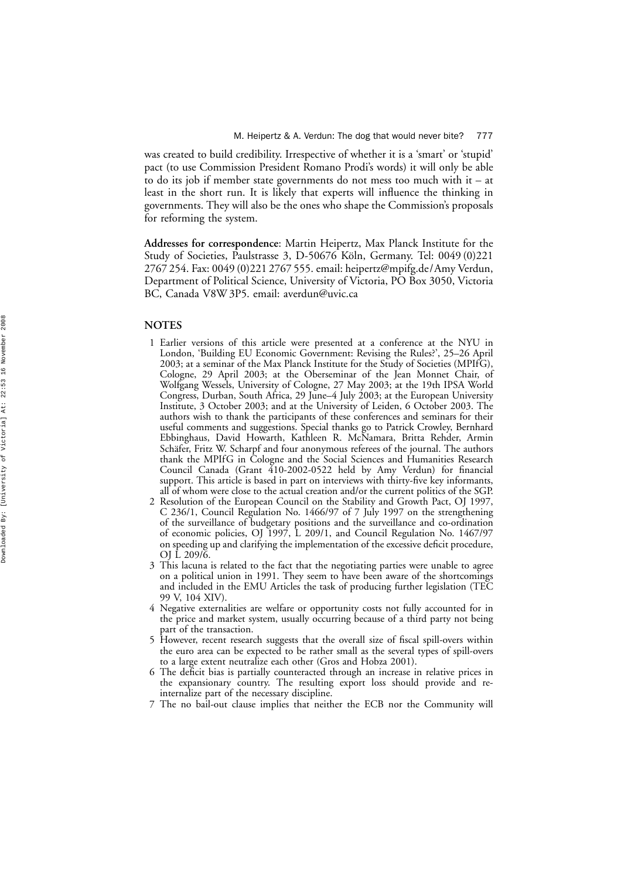was created to build credibility. Irrespective of whether it is a 'smart ' or 'stupid ' pact (to use Commission President Romano Prodi 's words) it will only be able to do its job if member state governments do not mess too much with it – at least in the short run. It is likely that experts will in fluence the thinking in governments. They will also be the ones who shape the Commission's proposals for reforming the system.

**Addresses for correspondence**: Martin Heipertz, Max Planck Institute for the Study of Societies, Paulstrasse 3, D-50676 Köln, Germany. Tel: 0049 (0)221 2767 254. Fax: 0049 (0)221 2767 555. email: heipertz@mpifg.de/Amy Verdun, Department of Political Science, University of Victoria, PO Box 3050, Victoria BC, Canada V8W 3P5. email: averdun@uvic.ca

# **NOTES**

- 1 Earlier versions of this article were presented at a conference at the NYU in London, 'Building EU Economic Government: Revising the Rules? ', 25 –26 April 2003; at a seminar of the Max Planck Institute for the Study of Societies (MPIfG), Cologne, 29 April 2003; at the Oberseminar of the Jean Monnet Chair, of Wolfgang Wessels, University of Cologne, 27 May 2003; at the 19th IPSA World Congress, Durban, South Africa, 29 June –4 July 2003; at the European University Institute, 3 October 2003; and at the University of Leiden, 6 October 2003. The authors wish to thank the participants of these conferences and seminars for their useful comments and suggestions. Special thanks go to Patrick Crowley, Bernhard Ebbinghaus, David Howarth, Kathleen R. McNamara, Britta Rehder, Armin Schäfer, Fritz W. Scharpf and four anonymous referees of the journal. The authors thank the MPIfG in Cologne and the Social Sciences and Humanities Research Council Canada (Grant 410-2002-0522 held by Amy Verdun) for financial support. This article is based in part on interviews with thirty-five key informants, all of whom were close to the actual creation and/or the current politics of the SGP.
- 2 Resolution of the European Council on the Stability and Growth Pact, OJ 1997, C 236/1, Council Regulation No. 1466/97 of 7 July 1997 on the strengthening of the surveillance of budgetary positions and the surveillance and co-ordination of economic policies, OJ 1997, L 209/1, and Council Regulation No. 1467/97 on speeding up and clarifying the implementation of the excessive de ficit procedure, OJ L 209/6.
- 3 This lacuna is related to the fact that the negotiating parties were unable to agree on a political union in 1991. They seem to have been aware of the shortcomings and included in the EMU Articles the task of producing further legislation (TEC 99 V, 104 XIV).
- 4 Negative externalities are welfare or opportunity costs not fully accounted for in the price and market system, usually occurring because of a third party not being part of the transaction.
- 5 However, recent research suggests that the overall size of fiscal spill-overs within the euro area can be expected to be rather small as the several types of spill-overs to a large extent neutralize each other (Gros and Hobza 2001).
- 6 The de ficit bias is partially counteracted through an increase in relative prices in the expansionary country. The resulting export loss should provide and reinternalize part of the necessary discipline.
- 7 The no bail-out clause implies that neither the ECB nor the Community will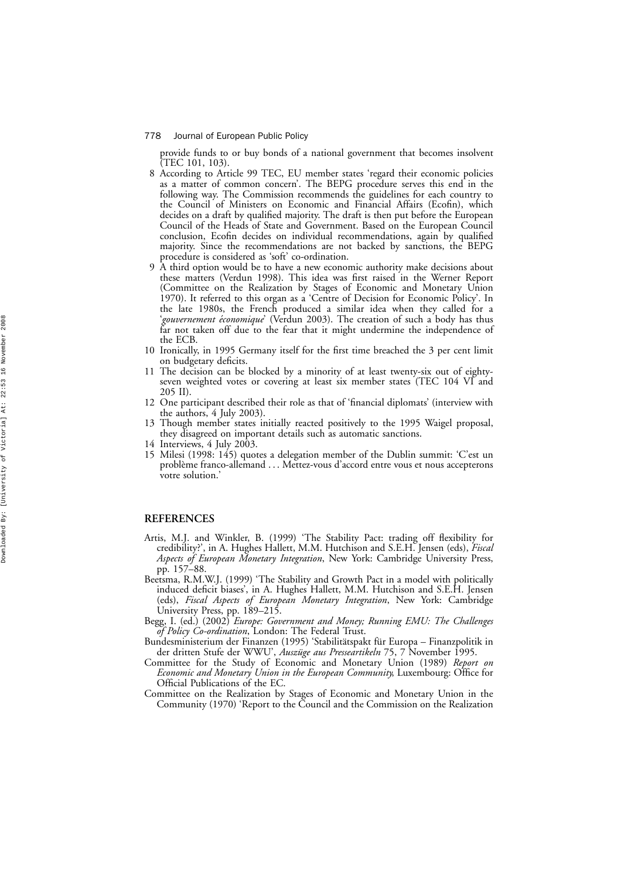provide funds to or buy bonds of a national government that becomes insolvent (TEC 101, 103).

- 8 According to Article 99 TEC, EU member states 'regard their economic policies as a matter of common concern'. The BEPG procedure serves this end in the following way. The Commission recommends the guidelines for each country to the Council of Ministers on Economic and Financial Affairs (Eco fin), which decides on a draft by quali fied majority. The draft is then put before the European Council of the Heads of State and Government. Based on the European Council conclusion, Eco fin decides on individual recommendations, again by quali fied majority. Since the recommendations are not backed by sanctions, the BEPG procedure is considered as 'soft ' co-ordination.
- 9 A third option would be to have a new economic authority make decisions about these matters (Verdun 1998). This idea was first raised in the Werner Report (Committee on the Realization by Stages of Economic and Monetary Union 1970). It referred to this organ as a 'Centre of Decision for Economic Policy'. In the late 1980s, the French produced a similar idea when they called for a '*gouvernement e´conomique*' (Verdun 2003). The creation of such a body has thus far not taken off due to the fear that it might undermine the independence of the ECB.
- 10 Ironically, in 1995 Germany itself for the first time breached the 3 per cent limit on budgetary de ficits.
- 11 The decision can be blocked by a minority of at least twenty-six out of eightyseven weighted votes or covering at least six member states (TEC 104 VI and 205 II).
- 12 One participant described their role as that of 'financial diplomats ' (interview with the authors, 4 July 2003).
- 13 Though member states initially reacted positively to the 1995 Waigel proposal, they disagreed on important details such as automatic sanctions.
- 14 Interviews, 4 July 2003.
- 15 Milesi (1998: 145) quotes a delegation member of the Dublin summit: ' C 'est un problème franco-allemand . . . Mettez-vous d'accord entre vous et nous accepterons votre solution. '

# **REFERENCES**

- Artis, M.J. and Winkler, B. (1999) 'The Stability Pact: trading off flexibility for credibility? ', in A. Hughes Hallett, M.M. Hutchison and S.E.H. Jensen (eds), *Fiscal Aspects of European Monetary Integration*, New York: Cambridge University Press, pp. 157 –88.
- Beetsma, R.M.W.J. (1999) 'The Stability and Growth Pact in a model with politically induced de ficit biases ', in A. Hughes Hallett, M.M. Hutchison and S.E.H. Jensen (eds), *Fiscal Aspects of European Monetary Integration*, New York: Cambridge University Press, pp. 189 –215.
- Begg, I. (ed.) (2002) *Europe: Government and Money; Running EMU: The Challenges of Policy Co-ordination*, London: The Federal Trust.
- Bundesministerium der Finanzen (1995) 'Stabilitätspakt für Europa Finanzpolitik in der dritten Stufe der WWU', *Auszüge aus Presseartikeln* 75, 7 November 1995.
- Committee for the Study of Economic and Monetary Union (1989) *Report on Economic and Monetary Union in the European Community*, Luxembourg: Office for Official Publications of the EC.
- Committee on the Realization by Stages of Economic and Monetary Union in the Community (1970) 'Report to the Council and the Commission on the Realization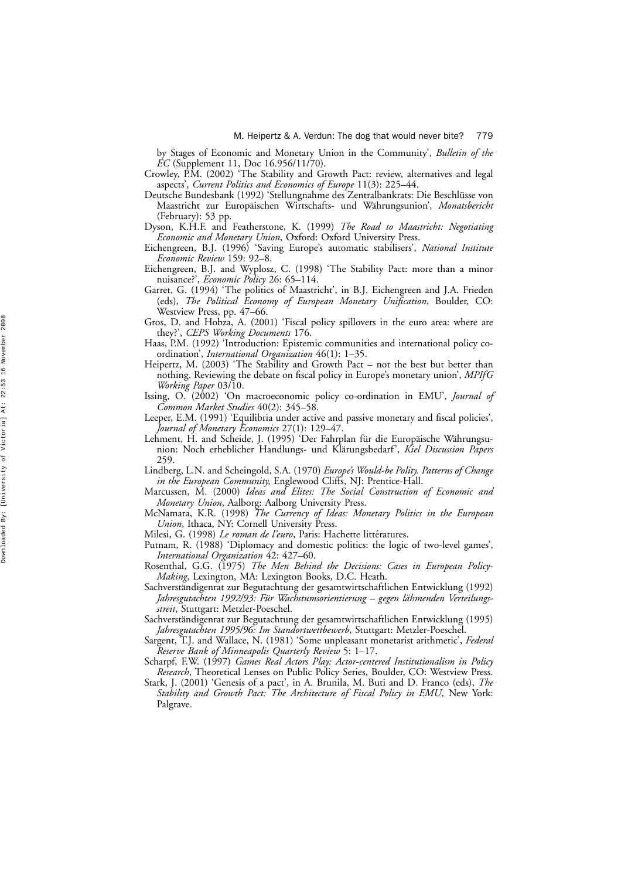by Stages of Economic and Monetary Union in the Community' , *Bulletin of the EC* (Supplement 11, Doc 16.956/11/70).

Crowley, P.M. (2002) 'The Stability and Growth Pact: review, alternatives and legal aspects', *Current Politics and Economics of Europe* 11(3): 225–44.

Deutsche Bundesbank (1992) 'Stellungnahme des Zentralbankrats: Die Beschlüsse von Maastricht zur Europäischen Wirtschafts- und Währungsunion', *Monatsbericht* (February): 53 pp.

Dyson, K.H.F. and Featherstone, K. (1999) *The Road to Maastricht: Negotiating Economic and Monetary Union*, Oxford: Oxford University Press.

- Eichengreen, B.J. (1996) 'Saving Europe's automatic stabilisers', National Institute *Economic Review* 159: 92 –8.
- Eichengreen, B.J. and Wyplosz, C. (1998) 'The Stability Pact: more than a minor nuisance? ' , *Economic Policy* 26: 65 –114.
- Garret, G. (1994) 'The politics of Maastricht ', in B.J. Eichengreen and J.A. Frieden (eds), *The Political Economy of European Monetary Unification*, Boulder, CO: Westview Press, pp. 47 –66.
- Gros, D. and Hobza, A. (2001) 'Fiscal policy spillovers in the euro area: where are they? ' , *CEPS Working Documents* 176.
- Haas, P.M. (1992) 'Introduction: Epistemic communities and international policy coordination', *International Organization* 46(1): 1–35.
- Heipertz, M. (2003) 'The Stability and Growth Pact not the best but better than nothing. Reviewing the debate on fiscal policy in Europe 's monetary union' , *MPIfG Working Paper* 03/10.
- Issing, O. (2002) 'On macroeconomic policy co-ordination in EMU ' , *Journal of Common Market Studies* 40(2): 345 –58.
- Leeper, E.M. (1991) 'Equilibria under active and passive monetary and fiscal policies ' , *Journal of Monetary Economics* 27(1): 129 –47.
- Lehment, H. and Scheide, J. (1995) 'Der Fahrplan für die Europäische Währungsunion: Noch erheblicher Handlungs- und Klärungsbedarf', *Kiel Discussion Papers* 259.
- Lindberg, L.N. and Scheingold, S.A. (1970) *Europe's Would-be Polity. Patterns of Change in the European Community*, Englewood Cliffs, NJ: Prentice-Hall.
- Marcussen, M. (2000) *Ideas and Elites: The Social Construction of Economic and Monetary Union*, Aalborg: Aalborg University Press.
- McNamara, K.R. (1998) *The Currency of Ideas: Monetary Politics in the European Union*, Ithaca, NY: Cornell University Press.
- Milesi, G. (1998) *Le roman de l'euro*, Paris: Hachette littératures.
- Putnam, R. (1988) 'Diplomacy and domestic politics: the logic of two-level games', *International Organization* 42: 427 –60.
- Rosenthal, G.G. (1975) *The Men Behind the Decisions: Cases in European Policy-Making*, Lexington, MA: Lexington Books, D.C. Heath.
- Sachverständigenrat zur Begutachtung der gesamtwirtschaftlichen Entwicklung (1992) Jahresgutachten 1992/93: Für Wachstumsorientierung – gegen lähmenden Verteilungs*streit*, Stuttgart: Metzler-Poeschel.
- Sachverständigenrat zur Begutachtung der gesamtwirtschaftlichen Entwicklung (1995) *Jahresgutachten 1995/96: Im Standortwettbewerb*, Stuttgart: Metzler-Poeschel.
- Sargent, T.J. and Wallace, N. (1981) 'Some unpleasant monetarist arithmetic', Federal *Reserve Bank of Minneapolis Quarterly Review* 5: 1 –17.
- Scharpf, F.W. (1997) *Games Real Actors Play: Actor-centered Institutionalism in Policy Research*, Theoretical Lenses on Public Policy Series, Boulder, CO: Westview Press.
- Stark, J. (2001) 'Genesis of a pact', in A. Brunila, M. Buti and D. Franco (eds), *The Stability and Growth Pact: The Architecture of Fiscal Policy in EMU*, New York: Palgrave.